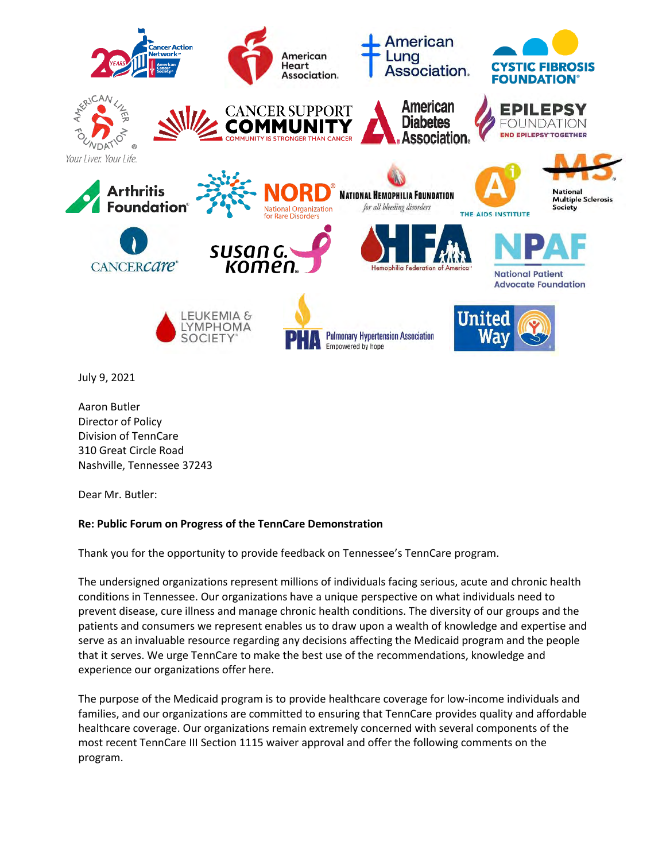

July 9, 2021

Aaron Butler Director of Policy Division of TennCare 310 Great Circle Road Nashville, Tennessee 37243

Dear Mr. Butler:

# **Re: Public Forum on Progress of the TennCare Demonstration**

Thank you for the opportunity to provide feedback on Tennessee's TennCare program.

The undersigned organizations represent millions of individuals facing serious, acute and chronic health conditions in Tennessee. Our organizations have a unique perspective on what individuals need to prevent disease, cure illness and manage chronic health conditions. The diversity of our groups and the patients and consumers we represent enables us to draw upon a wealth of knowledge and expertise and serve as an invaluable resource regarding any decisions affecting the Medicaid program and the people that it serves. We urge TennCare to make the best use of the recommendations, knowledge and experience our organizations offer here.

The purpose of the Medicaid program is to provide healthcare coverage for low-income individuals and families, and our organizations are committed to ensuring that TennCare provides quality and affordable healthcare coverage. Our organizations remain extremely concerned with several components of the most recent TennCare III Section 1115 waiver approval and offer the following comments on the program.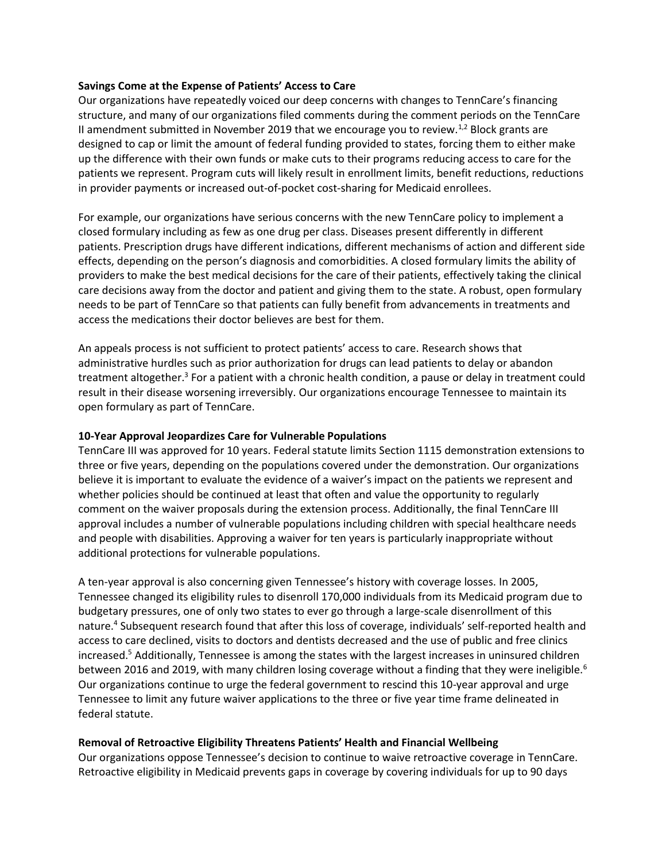## **Savings Come at the Expense of Patients' Access to Care**

Our organizations have repeatedly voiced our deep concerns with changes to TennCare's financing structure, and many of our organizations filed comments during the comment periods on the TennCare II amendment submitted in November 2019 that we encourage you to review.<sup>1,2</sup> Block grants are designed to cap or limit the amount of federal funding provided to states, forcing them to either make up the difference with their own funds or make cuts to their programs reducing access to care for the patients we represent. Program cuts will likely result in enrollment limits, benefit reductions, reductions in provider payments or increased out-of-pocket cost-sharing for Medicaid enrollees.

For example, our organizations have serious concerns with the new TennCare policy to implement a closed formulary including as few as one drug per class. Diseases present differently in different patients. Prescription drugs have different indications, different mechanisms of action and different side effects, depending on the person's diagnosis and comorbidities. A closed formulary limits the ability of providers to make the best medical decisions for the care of their patients, effectively taking the clinical care decisions away from the doctor and patient and giving them to the state. A robust, open formulary needs to be part of TennCare so that patients can fully benefit from advancements in treatments and access the medications their doctor believes are best for them.

An appeals process is not sufficient to protect patients' access to care. Research shows that administrative hurdles such as prior authorization for drugs can lead patients to delay or abandon treatment altogether.<sup>3</sup> For a patient with a chronic health condition, a pause or delay in treatment could result in their disease worsening irreversibly. Our organizations encourage Tennessee to maintain its open formulary as part of TennCare.

## **10-Year Approval Jeopardizes Care for Vulnerable Populations**

TennCare III was approved for 10 years. Federal statute limits Section 1115 demonstration extensions to three or five years, depending on the populations covered under the demonstration. Our organizations believe it is important to evaluate the evidence of a waiver's impact on the patients we represent and whether policies should be continued at least that often and value the opportunity to regularly comment on the waiver proposals during the extension process. Additionally, the final TennCare III approval includes a number of vulnerable populations including children with special healthcare needs and people with disabilities. Approving a waiver for ten years is particularly inappropriate without additional protections for vulnerable populations.

A ten-year approval is also concerning given Tennessee's history with coverage losses. In 2005, Tennessee changed its eligibility rules to disenroll 170,000 individuals from its Medicaid program due to budgetary pressures, one of only two states to ever go through a large-scale disenrollment of this nature.<sup>4</sup> Subsequent research found that after this loss of coverage, individuals' self-reported health and access to care declined, visits to doctors and dentists decreased and the use of public and free clinics increased.<sup>5</sup> Additionally, Tennessee is among the states with the largest increases in uninsured children between 2016 and 2019, with many children losing coverage without a finding that they were ineligible.<sup>6</sup> Our organizations continue to urge the federal government to rescind this 10-year approval and urge Tennessee to limit any future waiver applications to the three or five year time frame delineated in federal statute.

#### **Removal of Retroactive Eligibility Threatens Patients' Health and Financial Wellbeing**

Our organizations oppose Tennessee's decision to continue to waive retroactive coverage in TennCare. Retroactive eligibility in Medicaid prevents gaps in coverage by covering individuals for up to 90 days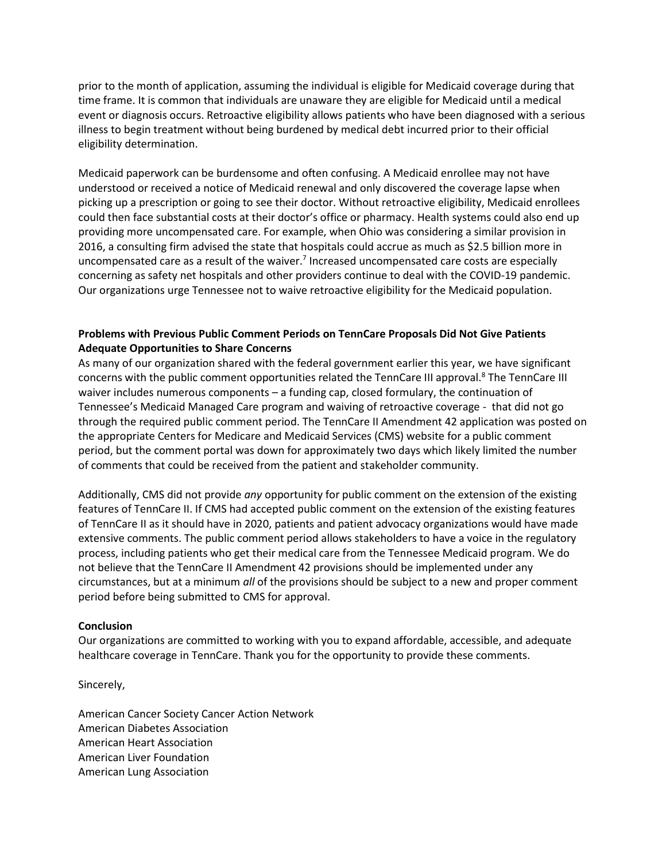prior to the month of application, assuming the individual is eligible for Medicaid coverage during that time frame. It is common that individuals are unaware they are eligible for Medicaid until a medical event or diagnosis occurs. Retroactive eligibility allows patients who have been diagnosed with a serious illness to begin treatment without being burdened by medical debt incurred prior to their official eligibility determination.

Medicaid paperwork can be burdensome and often confusing. A Medicaid enrollee may not have understood or received a notice of Medicaid renewal and only discovered the coverage lapse when picking up a prescription or going to see their doctor. Without retroactive eligibility, Medicaid enrollees could then face substantial costs at their doctor's office or pharmacy. Health systems could also end up providing more uncompensated care. For example, when Ohio was considering a similar provision in 2016, a consulting firm advised the state that hospitals could accrue as much as \$2.5 billion more in uncompensated care as a result of the waiver.<sup>7</sup> Increased uncompensated care costs are especially concerning as safety net hospitals and other providers continue to deal with the COVID-19 pandemic. Our organizations urge Tennessee not to waive retroactive eligibility for the Medicaid population.

# **Problems with Previous Public Comment Periods on TennCare Proposals Did Not Give Patients Adequate Opportunities to Share Concerns**

As many of our organization shared with the federal government earlier this year, we have significant concerns with the public comment opportunities related the TennCare III approval.<sup>8</sup> The TennCare III waiver includes numerous components – a funding cap, closed formulary, the continuation of Tennessee's Medicaid Managed Care program and waiving of retroactive coverage - that did not go through the required public comment period. The TennCare II Amendment 42 application was posted on the appropriate Centers for Medicare and Medicaid Services (CMS) website for a public comment period, but the comment portal was down for approximately two days which likely limited the number of comments that could be received from the patient and stakeholder community.

Additionally, CMS did not provide *any* opportunity for public comment on the extension of the existing features of TennCare II. If CMS had accepted public comment on the extension of the existing features of TennCare II as it should have in 2020, patients and patient advocacy organizations would have made extensive comments. The public comment period allows stakeholders to have a voice in the regulatory process, including patients who get their medical care from the Tennessee Medicaid program. We do not believe that the TennCare II Amendment 42 provisions should be implemented under any circumstances, but at a minimum *all* of the provisions should be subject to a new and proper comment period before being submitted to CMS for approval.

# **Conclusion**

Our organizations are committed to working with you to expand affordable, accessible, and adequate healthcare coverage in TennCare. Thank you for the opportunity to provide these comments.

Sincerely,

American Cancer Society Cancer Action Network American Diabetes Association American Heart Association American Liver Foundation American Lung Association